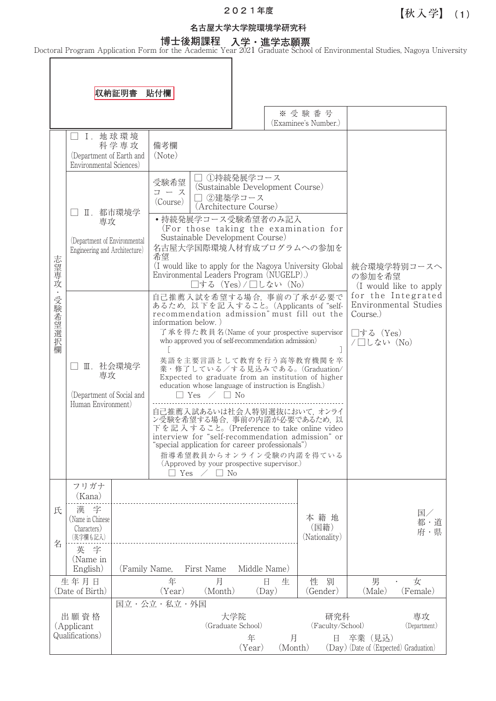# **202**1**年度**

## **名古屋大学大学院環境学研究科**

**博士後期課程 入学・進学志願票** Doctoral Program Application Form for the Academic Year 2021 Graduate School of Environmental Studies, Nagoya University

収納証明書 貼付欄 ※受験番号 (Examinee's Number.) □ Ⅰ. 地球環境 科 学 専 攻 備考欄 (Department of Earth and (Note) Environmental Sciences) □ ①持続発展学コース 受験希望 (Sustainable Development Course) コース □ 2建築学コース (Course) (Architecture Course) □ Ⅱ.都市環境学 ・持続発展学コース受験希望者のみ記入 専攻 (For those taking the examination for Sustainable Development Course) (Department of Environmental 名古屋大学国際環境人材育成プログラムへの参加を Engineering and Architecture) 希望 志 心望専攻 志望専攻・受験希望選択欄 (I would like to apply for the Nagoya University Global 統合環境学特別コースへ の参加を希望 Environmental Leaders Program (NUGELP).) □する (Yes)/□しない (No) (I would like to apply  $\ddot{\phantom{a}}$ for the Integrated 自己推薦入試を希望する場合,事前の了承が必要で 受験希望選 Environmental Studies あるため,以 下を記 入 すること。(Applicants of "selfrecommendation admission" must fill out the Course.) information below. ) 了 承を得た教 員 名(Name of your prospective supervisor □する (Yes) 经択欄 who approved you of self-recommendation admission)  $/ \Box L \ddot{\alpha}$  (No) [ ] 英語を主要言語として教育を行う高等教育機関を卒 □ Ⅲ. 社会環境学 業・修了している/する見込みである。(Graduation/ 専攻 Expected to graduate from an institution of higher education whose language of instruction is English.) (Department of Social and □ Yes / □ No Human Environment) 自己推薦入試あるいは社会人特別選抜において,オンライ ン受験を希望する場合,事前の内諾が必要であるため,以 下を記 入 すること。(Preference to take online video interview for "self-recommendation admission" or "special application for career professionals") 指導希望教員からオンライン受験の内諾を得ている (Approved by your prospective supervisor.)  $\Box$  Yes  $\angle$   $\Box$  No フリガナ (Kana) 氏 漢 字 国/ 本籍地 (Name in Chinese 都・道 (国籍) Characters) 府・県 (Nationality) (英字欄も記入) 名 英 字 (Name in English) (Family Name, First Name Middle Name) 生年月日 性 別 男 ・ 女 年 月 日生 (Date of Birth) (Year) (Month) (Day) (Gender) (Male) (Female) 国立・公立・私立・外国 出願資格 大学院 おおおおおおお 研究科 おおおお 真攻 (Applicant (Graduate School) (Faculty/School) (Department) Qualifications) 年 月 日 卒業(見込) (Year) (Month) (Day)(Date of (Expected) Graduation)